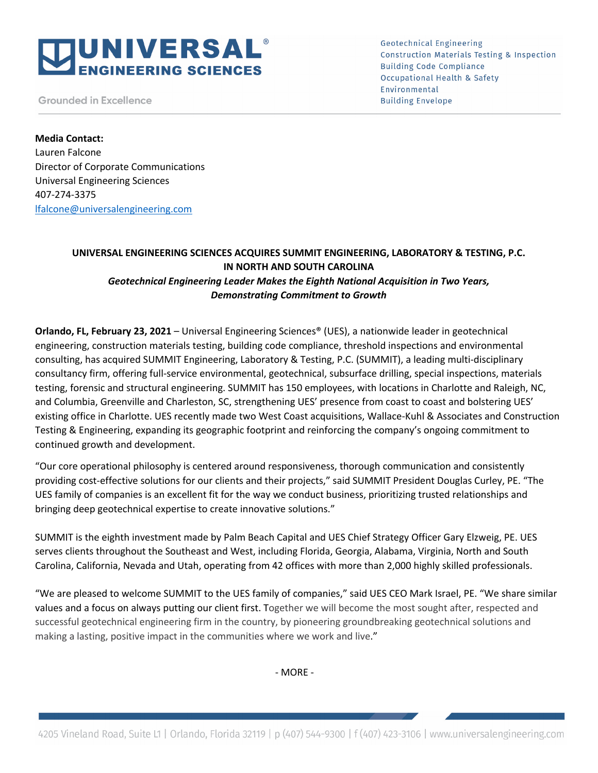# **IUNIVERSAL® EERING SCIENCES**

**Grounded in Excellence** 

**Geotechnical Engineering Construction Materials Testing & Inspection Building Code Compliance Occupational Health & Safety** Environmental **Building Envelope** 

**Media Contact:** Lauren Falcone Director of Corporate Communications Universal Engineering Sciences 407-274-3375 lfalcone@universalengineering.com

## **UNIVERSAL ENGINEERING SCIENCES ACQUIRES SUMMIT ENGINEERING, LABORATORY & TESTING, P.C. IN NORTH AND SOUTH CAROLINA** *Geotechnical Engineering Leader Makes the Eighth National Acquisition in Two Years, Demonstrating Commitment to Growth*

**Orlando, FL, February 23, 2021** – Universal Engineering Sciences® (UES), a nationwide leader in geotechnical engineering, construction materials testing, building code compliance, threshold inspections and environmental consulting, has acquired SUMMIT Engineering, Laboratory & Testing, P.C. (SUMMIT), a leading multi-disciplinary consultancy firm, offering full-service environmental, geotechnical, subsurface drilling, special inspections, materials testing, forensic and structural engineering. SUMMIT has 150 employees, with locations in Charlotte and Raleigh, NC, and Columbia, Greenville and Charleston, SC, strengthening UES' presence from coast to coast and bolstering UES' existing office in Charlotte. UES recently made two West Coast acquisitions, Wallace-Kuhl & Associates and Construction Testing & Engineering, expanding its geographic footprint and reinforcing the company's ongoing commitment to continued growth and development.

"Our core operational philosophy is centered around responsiveness, thorough communication and consistently providing cost-effective solutions for our clients and their projects," said SUMMIT President Douglas Curley, PE. "The UES family of companies is an excellent fit for the way we conduct business, prioritizing trusted relationships and bringing deep geotechnical expertise to create innovative solutions."

SUMMIT is the eighth investment made by Palm Beach Capital and UES Chief Strategy Officer Gary Elzweig, PE. UES serves clients throughout the Southeast and West, including Florida, Georgia, Alabama, Virginia, North and South Carolina, California, Nevada and Utah, operating from 42 offices with more than 2,000 highly skilled professionals.

"We are pleased to welcome SUMMIT to the UES family of companies," said UES CEO Mark Israel, PE. "We share similar values and a focus on always putting our client first. Together we will become the most sought after, respected and successful geotechnical engineering firm in the country, by pioneering groundbreaking geotechnical solutions and making a lasting, positive impact in the communities where we work and live."

- MORE -